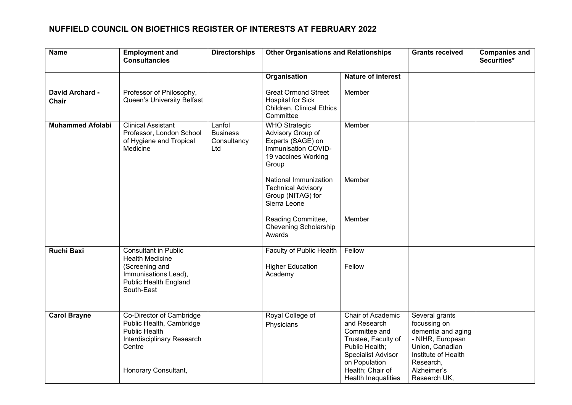| <b>Name</b>              | <b>Employment and</b><br><b>Consultancies</b>                                                                                                | <b>Directorships</b>                            | <b>Other Organisations and Relationships</b>                                                                          |                                                                                                                                                                                      | <b>Grants received</b>                                                                                                                                         | <b>Companies and</b><br>Securities* |
|--------------------------|----------------------------------------------------------------------------------------------------------------------------------------------|-------------------------------------------------|-----------------------------------------------------------------------------------------------------------------------|--------------------------------------------------------------------------------------------------------------------------------------------------------------------------------------|----------------------------------------------------------------------------------------------------------------------------------------------------------------|-------------------------------------|
|                          |                                                                                                                                              |                                                 | Organisation                                                                                                          | <b>Nature of interest</b>                                                                                                                                                            |                                                                                                                                                                |                                     |
| David Archard -<br>Chair | Professor of Philosophy,<br>Queen's University Belfast                                                                                       |                                                 | <b>Great Ormond Street</b><br><b>Hospital for Sick</b><br>Children, Clinical Ethics<br>Committee                      | Member                                                                                                                                                                               |                                                                                                                                                                |                                     |
| <b>Muhammed Afolabi</b>  | <b>Clinical Assistant</b><br>Professor, London School<br>of Hygiene and Tropical<br>Medicine                                                 | Lanfol<br><b>Business</b><br>Consultancy<br>Ltd | <b>WHO</b> Strategic<br>Advisory Group of<br>Experts (SAGE) on<br>Immunisation COVID-<br>19 vaccines Working<br>Group | Member                                                                                                                                                                               |                                                                                                                                                                |                                     |
|                          |                                                                                                                                              |                                                 | National Immunization<br><b>Technical Advisory</b><br>Group (NITAG) for<br>Sierra Leone                               | Member                                                                                                                                                                               |                                                                                                                                                                |                                     |
|                          |                                                                                                                                              |                                                 | Reading Committee,<br>Chevening Scholarship<br>Awards                                                                 | Member                                                                                                                                                                               |                                                                                                                                                                |                                     |
| <b>Ruchi Baxi</b>        | <b>Consultant in Public</b><br><b>Health Medicine</b><br>(Screening and<br>Immunisations Lead),<br>Public Health England<br>South-East       |                                                 | Faculty of Public Health<br><b>Higher Education</b><br>Academy                                                        | Fellow<br>Fellow                                                                                                                                                                     |                                                                                                                                                                |                                     |
| <b>Carol Brayne</b>      | Co-Director of Cambridge<br>Public Health, Cambridge<br><b>Public Health</b><br>Interdisciplinary Research<br>Centre<br>Honorary Consultant, |                                                 | Royal College of<br>Physicians                                                                                        | Chair of Academic<br>and Research<br>Committee and<br>Trustee, Faculty of<br>Public Health;<br><b>Specialist Advisor</b><br>on Population<br>Health; Chair of<br>Health Inequalities | Several grants<br>focussing on<br>dementia and aging<br>- NIHR, European<br>Union, Canadian<br>Institute of Health<br>Research,<br>Alzheimer's<br>Research UK, |                                     |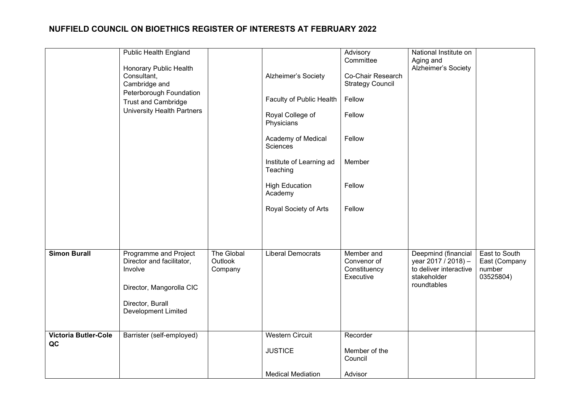|                             | <b>Public Health England</b>                                                              |                                  |                                      | Advisory                                                  | National Institute on                                                                              |                                                       |
|-----------------------------|-------------------------------------------------------------------------------------------|----------------------------------|--------------------------------------|-----------------------------------------------------------|----------------------------------------------------------------------------------------------------|-------------------------------------------------------|
|                             | Honorary Public Health<br>Consultant,<br>Cambridge and                                    |                                  | Alzheimer's Society                  | Committee<br>Co-Chair Research<br><b>Strategy Council</b> | Aging and<br>Alzheimer's Society                                                                   |                                                       |
|                             | Peterborough Foundation<br><b>Trust and Cambridge</b>                                     |                                  | Faculty of Public Health             | Fellow                                                    |                                                                                                    |                                                       |
|                             | <b>University Health Partners</b>                                                         |                                  | Royal College of<br>Physicians       | Fellow                                                    |                                                                                                    |                                                       |
|                             |                                                                                           |                                  | Academy of Medical<br>Sciences       | Fellow                                                    |                                                                                                    |                                                       |
|                             |                                                                                           |                                  | Institute of Learning ad<br>Teaching | Member                                                    |                                                                                                    |                                                       |
|                             |                                                                                           |                                  | <b>High Education</b><br>Academy     | Fellow                                                    |                                                                                                    |                                                       |
|                             |                                                                                           |                                  | Royal Society of Arts                | Fellow                                                    |                                                                                                    |                                                       |
|                             |                                                                                           |                                  |                                      |                                                           |                                                                                                    |                                                       |
| <b>Simon Burall</b>         | Programme and Project<br>Director and facilitator,<br>Involve<br>Director, Mangorolla CIC | The Global<br>Outlook<br>Company | <b>Liberal Democrats</b>             | Member and<br>Convenor of<br>Constituency<br>Executive    | Deepmind (financial<br>year 2017 / 2018) -<br>to deliver interactive<br>stakeholder<br>roundtables | East to South<br>East (Company<br>number<br>03525804) |
|                             | Director, Burall<br><b>Development Limited</b>                                            |                                  |                                      |                                                           |                                                                                                    |                                                       |
| <b>Victoria Butler-Cole</b> | Barrister (self-employed)                                                                 |                                  | <b>Western Circuit</b>               | Recorder                                                  |                                                                                                    |                                                       |
| QC                          |                                                                                           |                                  | <b>JUSTICE</b>                       | Member of the<br>Council                                  |                                                                                                    |                                                       |
|                             |                                                                                           |                                  | <b>Medical Mediation</b>             | Advisor                                                   |                                                                                                    |                                                       |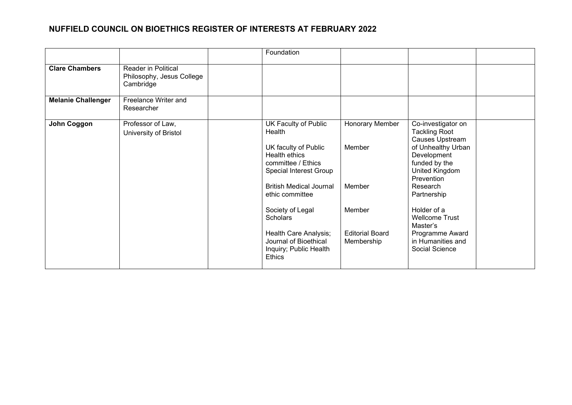|                           |                                                                      | Foundation                                                                                    |                                      |                                                                                                                     |  |
|---------------------------|----------------------------------------------------------------------|-----------------------------------------------------------------------------------------------|--------------------------------------|---------------------------------------------------------------------------------------------------------------------|--|
| <b>Clare Chambers</b>     | <b>Reader in Political</b><br>Philosophy, Jesus College<br>Cambridge |                                                                                               |                                      |                                                                                                                     |  |
| <b>Melanie Challenger</b> | Freelance Writer and<br>Researcher                                   |                                                                                               |                                      |                                                                                                                     |  |
| John Coggon               | Professor of Law,<br>University of Bristol                           | UK Faculty of Public<br>Health<br>UK faculty of Public<br>Health ethics<br>committee / Ethics | Honorary Member<br>Member            | Co-investigator on<br><b>Tackling Root</b><br>Causes Upstream<br>of Unhealthy Urban<br>Development<br>funded by the |  |
|                           |                                                                      | Special Interest Group<br><b>British Medical Journal</b><br>ethic committee                   | Member                               | United Kingdom<br>Prevention<br>Research<br>Partnership                                                             |  |
|                           |                                                                      | Society of Legal<br>Scholars                                                                  | Member                               | Holder of a<br><b>Wellcome Trust</b><br>Master's                                                                    |  |
|                           |                                                                      | Health Care Analysis;<br>Journal of Bioethical<br>Inquiry; Public Health<br><b>Ethics</b>     | <b>Editorial Board</b><br>Membership | Programme Award<br>in Humanities and<br>Social Science                                                              |  |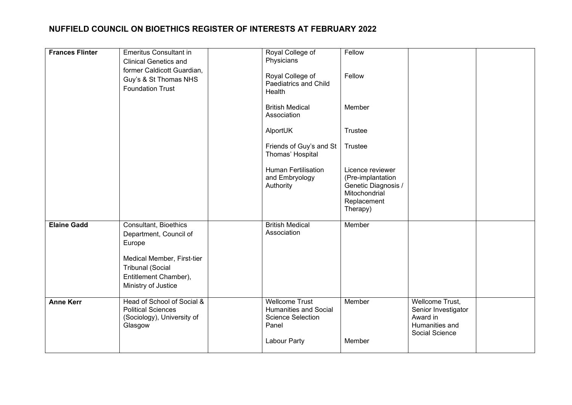| <b>Frances Flinter</b> | <b>Emeritus Consultant in</b><br><b>Clinical Genetics and</b><br>former Caldicott Guardian,<br>Guy's & St Thomas NHS<br><b>Foundation Trust</b>                    | Royal College of<br>Physicians<br>Royal College of<br>Paediatrics and Child<br>Health<br><b>British Medical</b><br>Association<br>AlportUK | Fellow<br>Fellow<br>Member<br>Trustee                                                                               |                                                                                        |  |
|------------------------|--------------------------------------------------------------------------------------------------------------------------------------------------------------------|--------------------------------------------------------------------------------------------------------------------------------------------|---------------------------------------------------------------------------------------------------------------------|----------------------------------------------------------------------------------------|--|
|                        |                                                                                                                                                                    | Friends of Guy's and St<br>Thomas' Hospital<br><b>Human Fertilisation</b><br>and Embryology<br>Authority                                   | Trustee<br>Licence reviewer<br>(Pre-implantation<br>Genetic Diagnosis /<br>Mitochondrial<br>Replacement<br>Therapy) |                                                                                        |  |
| <b>Elaine Gadd</b>     | Consultant, Bioethics<br>Department, Council of<br>Europe<br>Medical Member, First-tier<br><b>Tribunal (Social</b><br>Entitlement Chamber),<br>Ministry of Justice | <b>British Medical</b><br>Association                                                                                                      | Member                                                                                                              |                                                                                        |  |
| <b>Anne Kerr</b>       | Head of School of Social &<br><b>Political Sciences</b><br>(Sociology), University of<br>Glasgow                                                                   | <b>Wellcome Trust</b><br><b>Humanities and Social</b><br><b>Science Selection</b><br>Panel<br>Labour Party                                 | Member<br>Member                                                                                                    | Wellcome Trust,<br>Senior Investigator<br>Award in<br>Humanities and<br>Social Science |  |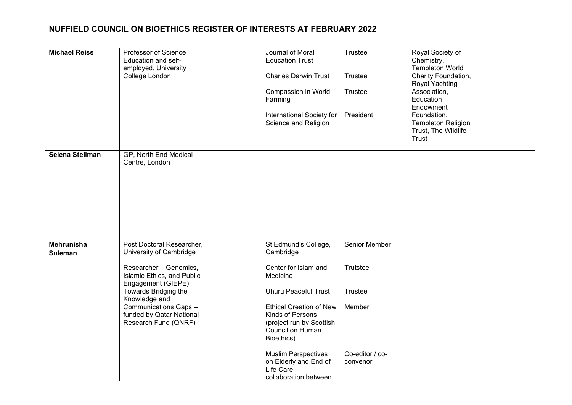| <b>Michael Reiss</b>                | Professor of Science<br>Education and self-<br>employed, University<br>College London                                                                                                                                                                     | Journal of Moral<br><b>Education Trust</b><br><b>Charles Darwin Trust</b><br>Compassion in World<br>Farming<br>International Society for<br>Science and Religion                                                                                                                                                        | Trustee<br>Trustee<br><b>Trustee</b><br>President                             | Royal Society of<br>Chemistry,<br><b>Templeton World</b><br>Charity Foundation,<br>Royal Yachting<br>Association,<br>Education<br>Endowment<br>Foundation,<br><b>Templeton Religion</b><br>Trust, The Wildlife<br>Trust |  |
|-------------------------------------|-----------------------------------------------------------------------------------------------------------------------------------------------------------------------------------------------------------------------------------------------------------|-------------------------------------------------------------------------------------------------------------------------------------------------------------------------------------------------------------------------------------------------------------------------------------------------------------------------|-------------------------------------------------------------------------------|-------------------------------------------------------------------------------------------------------------------------------------------------------------------------------------------------------------------------|--|
| Selena Stellman                     | GP, North End Medical<br>Centre, London                                                                                                                                                                                                                   |                                                                                                                                                                                                                                                                                                                         |                                                                               |                                                                                                                                                                                                                         |  |
| <b>Mehrunisha</b><br><b>Suleman</b> | Post Doctoral Researcher,<br>University of Cambridge<br>Researcher - Genomics,<br>Islamic Ethics, and Public<br>Engagement (GIEPE):<br>Towards Bridging the<br>Knowledge and<br>Communications Gaps -<br>funded by Qatar National<br>Research Fund (QNRF) | St Edmund's College,<br>Cambridge<br>Center for Islam and<br>Medicine<br><b>Uhuru Peaceful Trust</b><br><b>Ethical Creation of New</b><br>Kinds of Persons<br>(project run by Scottish<br>Council on Human<br>Bioethics)<br><b>Muslim Perspectives</b><br>on Elderly and End of<br>Life Care -<br>collaboration between | Senior Member<br>Trutstee<br>Trustee<br>Member<br>Co-editor / co-<br>convenor |                                                                                                                                                                                                                         |  |